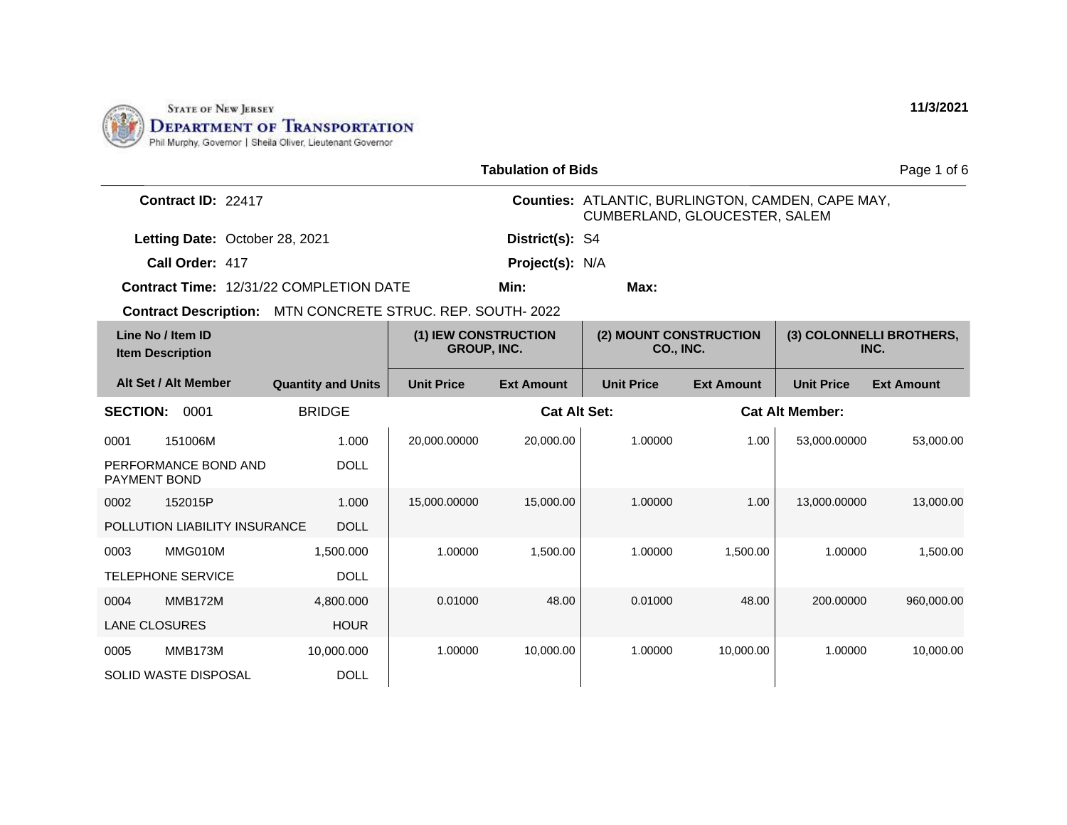

| <b>Tabulation of Bids</b><br>Page 1 of 6     |                                     |                   |                                            |                                                                                           |                                            |                   |                                  |  |
|----------------------------------------------|-------------------------------------|-------------------|--------------------------------------------|-------------------------------------------------------------------------------------------|--------------------------------------------|-------------------|----------------------------------|--|
| Contract ID: 22417                           |                                     |                   |                                            | Counties: ATLANTIC, BURLINGTON, CAMDEN, CAPE MAY,<br><b>CUMBERLAND, GLOUCESTER, SALEM</b> |                                            |                   |                                  |  |
| Letting Date: October 28, 2021               |                                     |                   | District(s): S4                            |                                                                                           |                                            |                   |                                  |  |
| Call Order: 417                              |                                     |                   | Project(s): N/A                            |                                                                                           |                                            |                   |                                  |  |
| Contract Time: 12/31/22 COMPLETION DATE      |                                     |                   | Min:                                       | Max:                                                                                      |                                            |                   |                                  |  |
| <b>Contract Description:</b>                 | MTN CONCRETE STRUC. REP. SOUTH-2022 |                   |                                            |                                                                                           |                                            |                   |                                  |  |
| Line No / Item ID<br><b>Item Description</b> |                                     |                   | (1) IEW CONSTRUCTION<br><b>GROUP, INC.</b> |                                                                                           | (2) MOUNT CONSTRUCTION<br><b>CO., INC.</b> |                   | (3) COLONNELLI BROTHERS,<br>INC. |  |
| Alt Set / Alt Member                         | <b>Quantity and Units</b>           | <b>Unit Price</b> | <b>Ext Amount</b>                          | <b>Unit Price</b>                                                                         | <b>Ext Amount</b>                          | <b>Unit Price</b> | <b>Ext Amount</b>                |  |
| <b>SECTION:</b><br>0001                      | <b>BRIDGE</b>                       |                   | <b>Cat Alt Set:</b>                        |                                                                                           |                                            |                   | <b>Cat Alt Member:</b>           |  |
| 151006M<br>0001                              | 1.000                               | 20,000.00000      | 20,000.00                                  | 1.00000                                                                                   | 1.00                                       | 53,000.00000      | 53,000.00                        |  |
| PERFORMANCE BOND AND<br>PAYMENT BOND         | <b>DOLL</b>                         |                   |                                            |                                                                                           |                                            |                   |                                  |  |
| 152015P<br>0002                              | 1.000                               | 15,000.00000      | 15,000.00                                  | 1.00000                                                                                   | 1.00                                       | 13,000.00000      | 13,000.00                        |  |
| POLLUTION LIABILITY INSURANCE                | <b>DOLL</b>                         |                   |                                            |                                                                                           |                                            |                   |                                  |  |
| MMG010M<br>0003                              | 1,500.000                           | 1.00000           | 1,500.00                                   | 1.00000                                                                                   | 1.500.00                                   | 1.00000           | 1,500.00                         |  |
| <b>TELEPHONE SERVICE</b>                     | <b>DOLL</b>                         |                   |                                            |                                                                                           |                                            |                   |                                  |  |
| <b>MMB172M</b><br>0004                       | 4,800.000                           | 0.01000           | 48.00                                      | 0.01000                                                                                   | 48.00                                      | 200.00000         | 960,000.00                       |  |
| <b>LANE CLOSURES</b>                         | <b>HOUR</b>                         |                   |                                            |                                                                                           |                                            |                   |                                  |  |
| MMB173M<br>0005                              | 10,000.000                          | 1.00000           | 10,000.00                                  | 1.00000                                                                                   | 10,000.00                                  | 1.00000           | 10,000.00                        |  |
| <b>SOLID WASTE DISPOSAL</b>                  | <b>DOLL</b>                         |                   |                                            |                                                                                           |                                            |                   |                                  |  |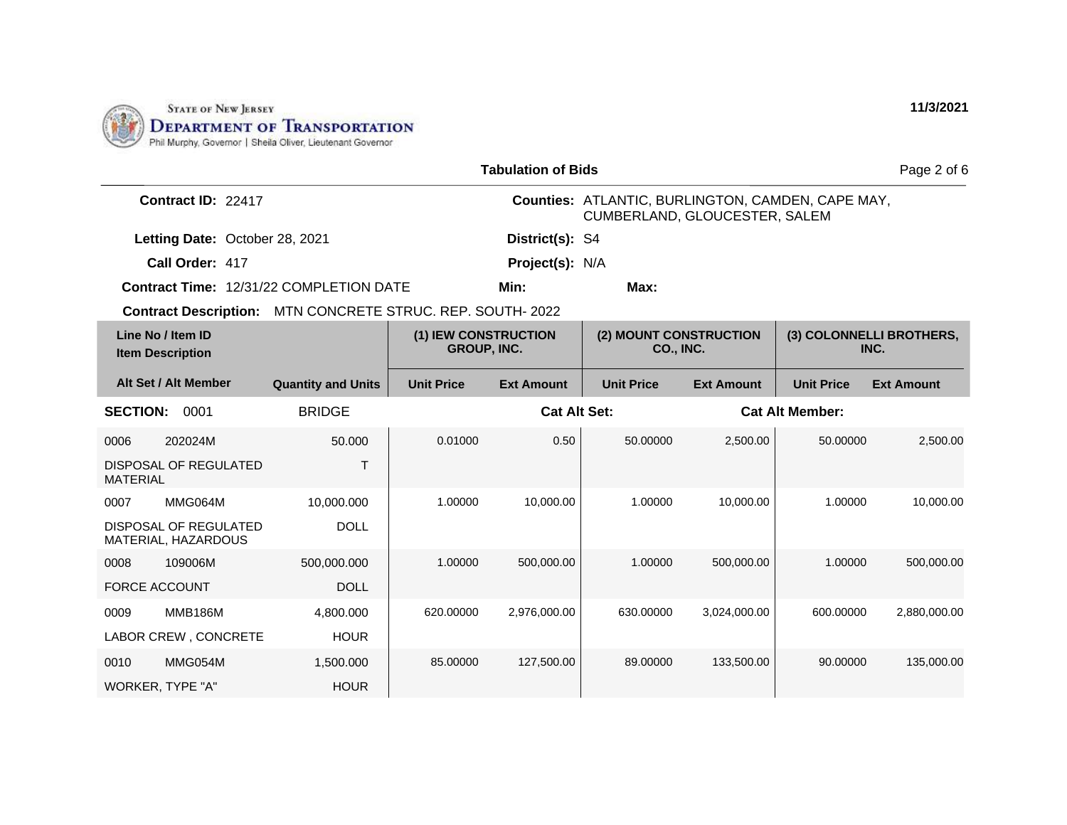

| <b>Tabulation of Bids</b>                                                                  |                           |                     |                                     |                                                                                    |                                  |                        | Page 2 of 6       |  |
|--------------------------------------------------------------------------------------------|---------------------------|---------------------|-------------------------------------|------------------------------------------------------------------------------------|----------------------------------|------------------------|-------------------|--|
| Contract ID: 22417                                                                         |                           |                     |                                     | Counties: ATLANTIC, BURLINGTON, CAMDEN, CAPE MAY,<br>CUMBERLAND, GLOUCESTER, SALEM |                                  |                        |                   |  |
| Letting Date: October 28, 2021                                                             |                           |                     | District(s): S4                     |                                                                                    |                                  |                        |                   |  |
| Call Order: 417                                                                            |                           |                     | Project(s): N/A                     |                                                                                    |                                  |                        |                   |  |
| <b>Contract Time: 12/31/22 COMPLETION DATE</b>                                             |                           |                     | Min:                                | Max:                                                                               |                                  |                        |                   |  |
| Contract Description: MTN CONCRETE STRUC. REP. SOUTH-2022                                  |                           |                     |                                     |                                                                                    |                                  |                        |                   |  |
| Line No / Item ID<br>(1) IEW CONSTRUCTION<br><b>GROUP, INC.</b><br><b>Item Description</b> |                           |                     | (2) MOUNT CONSTRUCTION<br>CO., INC. |                                                                                    | (3) COLONNELLI BROTHERS,<br>INC. |                        |                   |  |
| Alt Set / Alt Member                                                                       | <b>Quantity and Units</b> | <b>Unit Price</b>   | <b>Ext Amount</b>                   | <b>Unit Price</b>                                                                  | <b>Ext Amount</b>                | <b>Unit Price</b>      | <b>Ext Amount</b> |  |
| <b>SECTION:</b><br>0001                                                                    | <b>BRIDGE</b>             | <b>Cat Alt Set:</b> |                                     |                                                                                    |                                  | <b>Cat Alt Member:</b> |                   |  |
| 202024M<br>0006                                                                            | 50.000                    | 0.01000             | 0.50                                | 50.00000                                                                           | 2,500.00                         | 50.00000               | 2,500.00          |  |
| <b>DISPOSAL OF REGULATED</b><br><b>MATERIAL</b>                                            | $\top$                    |                     |                                     |                                                                                    |                                  |                        |                   |  |
| MMG064M<br>0007                                                                            | 10.000.000                | 1.00000             | 10,000.00                           | 1.00000                                                                            | 10,000.00                        | 1.00000                | 10,000.00         |  |
| DISPOSAL OF REGULATED<br>MATERIAL, HAZARDOUS                                               | <b>DOLL</b>               |                     |                                     |                                                                                    |                                  |                        |                   |  |
| 109006M<br>0008                                                                            | 500,000.000               | 1.00000             | 500,000.00                          | 1.00000                                                                            | 500.000.00                       | 1.00000                | 500,000.00        |  |
| <b>FORCE ACCOUNT</b>                                                                       | <b>DOLL</b>               |                     |                                     |                                                                                    |                                  |                        |                   |  |
| <b>MMB186M</b><br>0009                                                                     | 4,800.000                 | 620.00000           | 2,976,000.00                        | 630.00000                                                                          | 3,024,000.00                     | 600.00000              | 2,880,000.00      |  |
| LABOR CREW, CONCRETE                                                                       | <b>HOUR</b>               |                     |                                     |                                                                                    |                                  |                        |                   |  |
| MMG054M<br>0010                                                                            | 1.500.000                 | 85.00000            | 127,500.00                          | 89.00000                                                                           | 133,500.00                       | 90.00000               | 135,000.00        |  |
| WORKER, TYPE "A"                                                                           | <b>HOUR</b>               |                     |                                     |                                                                                    |                                  |                        |                   |  |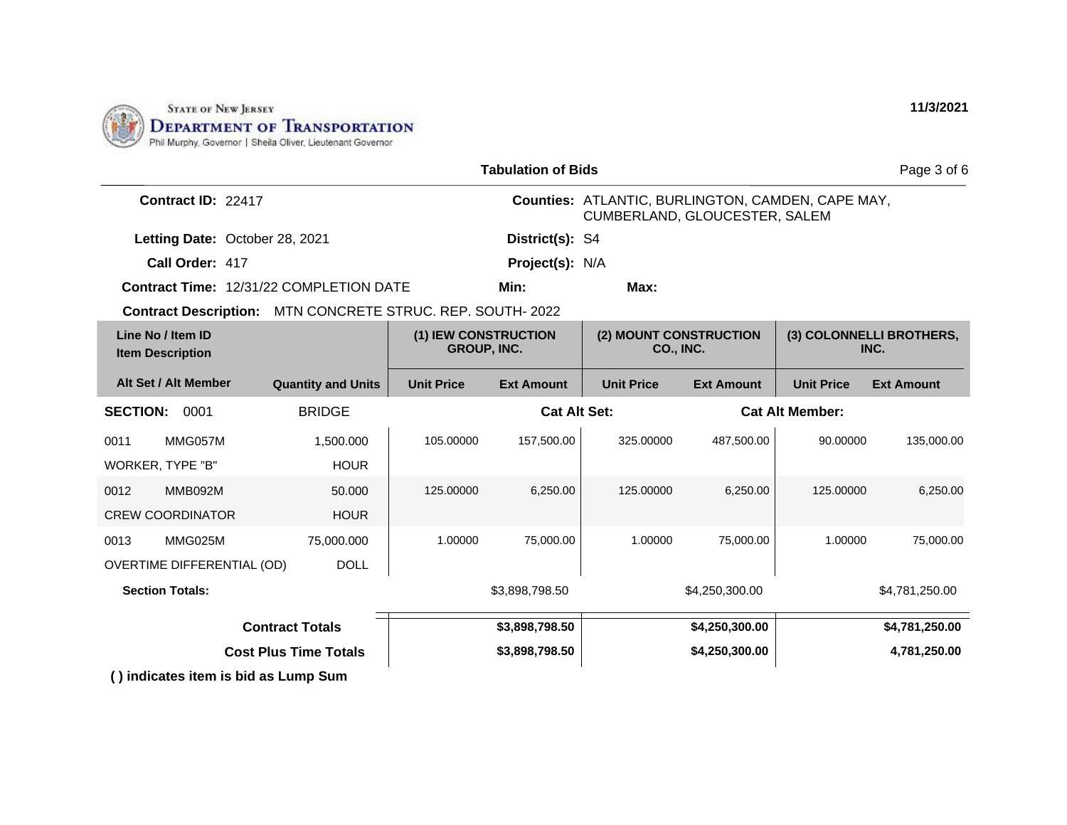

|                                                            |                           |                   | <b>Tabulation of Bids</b>                  |                                                                                    |                                            |                   | Page 3 of 6                      |  |
|------------------------------------------------------------|---------------------------|-------------------|--------------------------------------------|------------------------------------------------------------------------------------|--------------------------------------------|-------------------|----------------------------------|--|
| Contract ID: 22417                                         |                           |                   |                                            | Counties: ATLANTIC, BURLINGTON, CAMDEN, CAPE MAY,<br>CUMBERLAND, GLOUCESTER, SALEM |                                            |                   |                                  |  |
| Letting Date: October 28, 2021                             |                           |                   | District(s): S4                            |                                                                                    |                                            |                   |                                  |  |
| Call Order: 417                                            |                           |                   | Project(s): N/A                            |                                                                                    |                                            |                   |                                  |  |
| Contract Time: 12/31/22 COMPLETION DATE                    |                           |                   | Min:                                       | Max:                                                                               |                                            |                   |                                  |  |
| Contract Description: MTN CONCRETE STRUC. REP. SOUTH- 2022 |                           |                   |                                            |                                                                                    |                                            |                   |                                  |  |
| Line No / Item ID<br><b>Item Description</b>               |                           |                   | (1) IEW CONSTRUCTION<br><b>GROUP, INC.</b> |                                                                                    | (2) MOUNT CONSTRUCTION<br><b>CO., INC.</b> |                   | (3) COLONNELLI BROTHERS,<br>INC. |  |
| Alt Set / Alt Member                                       | <b>Quantity and Units</b> | <b>Unit Price</b> | <b>Ext Amount</b>                          | <b>Unit Price</b>                                                                  | <b>Ext Amount</b>                          | <b>Unit Price</b> | <b>Ext Amount</b>                |  |
| <b>SECTION:</b><br>0001                                    | <b>BRIDGE</b>             |                   | <b>Cat Alt Set:</b>                        | <b>Cat Alt Member:</b>                                                             |                                            |                   |                                  |  |
| MMG057M<br>0011                                            | 1,500.000                 | 105.00000         | 157,500.00                                 | 325.00000                                                                          | 487,500.00                                 | 90.00000          | 135,000.00                       |  |
| <b>WORKER, TYPE "B"</b>                                    | <b>HOUR</b>               |                   |                                            |                                                                                    |                                            |                   |                                  |  |
| MMB092M<br>0012                                            | 50.000                    | 125.00000         | 6,250.00                                   | 125.00000                                                                          | 6,250.00                                   | 125,00000         | 6,250.00                         |  |
| <b>CREW COORDINATOR</b>                                    | <b>HOUR</b>               |                   |                                            |                                                                                    |                                            |                   |                                  |  |
| MMG025M<br>0013                                            | 75,000.000                | 1.00000           | 75,000.00                                  | 1.00000                                                                            | 75,000.00                                  | 1.00000           | 75,000.00                        |  |
| <b>OVERTIME DIFFERENTIAL (OD)</b>                          | <b>DOLL</b>               |                   |                                            |                                                                                    |                                            |                   |                                  |  |
| <b>Section Totals:</b>                                     |                           |                   | \$3,898,798.50                             |                                                                                    | \$4,250,300.00                             |                   | \$4,781,250.00                   |  |
| <b>Contract Totals</b>                                     |                           | \$3,898,798.50    |                                            | \$4,250,300.00                                                                     |                                            | \$4,781,250.00    |                                  |  |
| <b>Cost Plus Time Totals</b>                               |                           | \$3,898,798.50    |                                            | \$4,250,300.00                                                                     |                                            | 4,781,250.00      |                                  |  |
| () indicates item is bid as Lump Sum                       |                           |                   |                                            |                                                                                    |                                            |                   |                                  |  |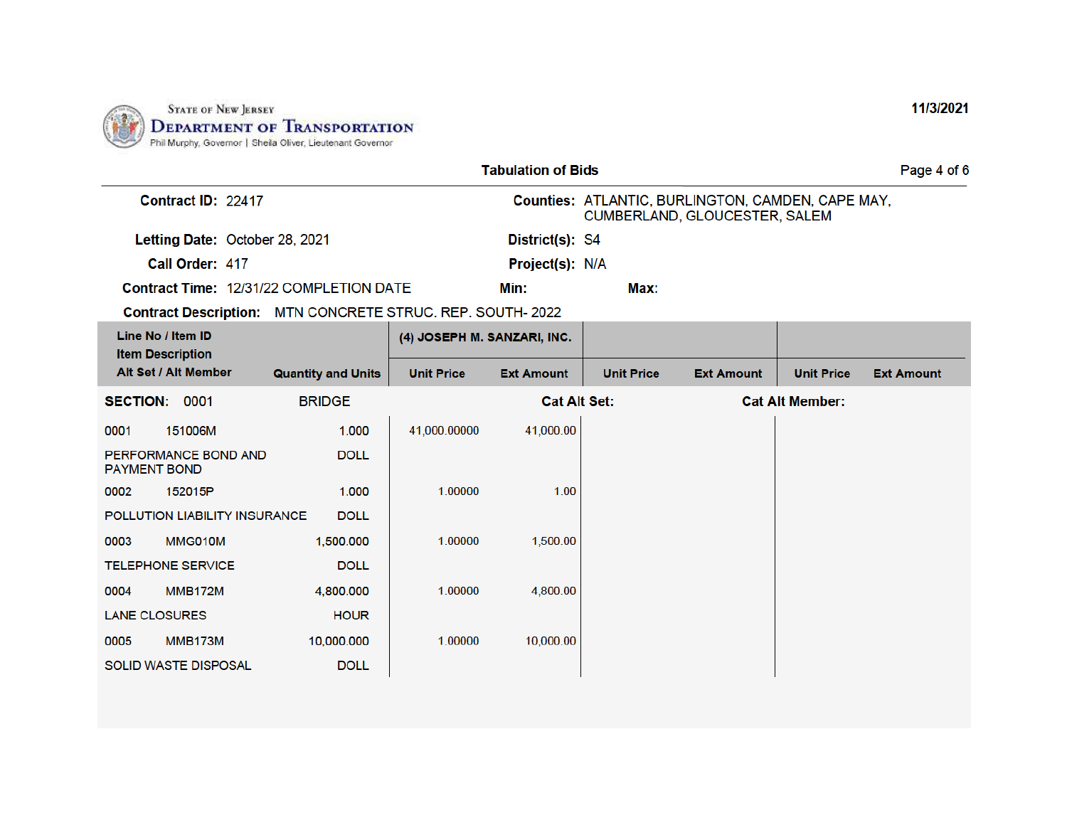

| <b>Tabulation of Bids</b><br>Page 4 of 6                   |                           |                             |                     |                                                                                    |                   |                        |                   |
|------------------------------------------------------------|---------------------------|-----------------------------|---------------------|------------------------------------------------------------------------------------|-------------------|------------------------|-------------------|
| Contract ID: 22417                                         |                           |                             |                     | Counties: ATLANTIC, BURLINGTON, CAMDEN, CAPE MAY,<br>CUMBERLAND, GLOUCESTER, SALEM |                   |                        |                   |
| Letting Date: October 28, 2021                             |                           |                             | District(s): S4     |                                                                                    |                   |                        |                   |
| Call Order: 417                                            |                           |                             | Project(s): N/A     |                                                                                    |                   |                        |                   |
| <b>Contract Time: 12/31/22 COMPLETION DATE</b>             |                           |                             | Min:                | Max:                                                                               |                   |                        |                   |
| Contract Description: MTN CONCRETE STRUC. REP. SOUTH- 2022 |                           |                             |                     |                                                                                    |                   |                        |                   |
| Line No / Item ID<br><b>Item Description</b>               |                           | (4) JOSEPH M. SANZARI, INC. |                     |                                                                                    |                   |                        |                   |
| Alt Set / Alt Member                                       | <b>Quantity and Units</b> | <b>Unit Price</b>           | <b>Ext Amount</b>   | <b>Unit Price</b>                                                                  | <b>Ext Amount</b> | <b>Unit Price</b>      | <b>Ext Amount</b> |
| <b>SECTION: 0001</b>                                       | <b>BRIDGE</b>             |                             | <b>Cat Alt Set:</b> |                                                                                    |                   | <b>Cat Alt Member:</b> |                   |
| 151006M<br>0001                                            | 1.000                     | 41,000.00000                | 41,000.00           |                                                                                    |                   |                        |                   |
| PERFORMANCE BOND AND<br><b>PAYMENT BOND</b>                | <b>DOLL</b>               |                             |                     |                                                                                    |                   |                        |                   |
| 152015P<br>0002                                            | 1.000                     | 1.00000                     | 1.00                |                                                                                    |                   |                        |                   |
| POLLUTION LIABILITY INSURANCE                              | <b>DOLL</b>               |                             |                     |                                                                                    |                   |                        |                   |
| MMG010M<br>0003                                            | 1,500,000                 | 1.00000                     | 1,500.00            |                                                                                    |                   |                        |                   |
| <b>TELEPHONE SERVICE</b>                                   | <b>DOLL</b>               |                             |                     |                                                                                    |                   |                        |                   |
| <b>MMB172M</b><br>0004                                     | 4,800,000                 | 1.00000                     | 4,800.00            |                                                                                    |                   |                        |                   |
| <b>LANE CLOSURES</b>                                       | <b>HOUR</b>               |                             |                     |                                                                                    |                   |                        |                   |
| <b>MMB173M</b><br>0005                                     | 10,000.000                | 1.00000                     | 10,000.00           |                                                                                    |                   |                        |                   |
| <b>SOLID WASTE DISPOSAL</b>                                | <b>DOLL</b>               |                             |                     |                                                                                    |                   |                        |                   |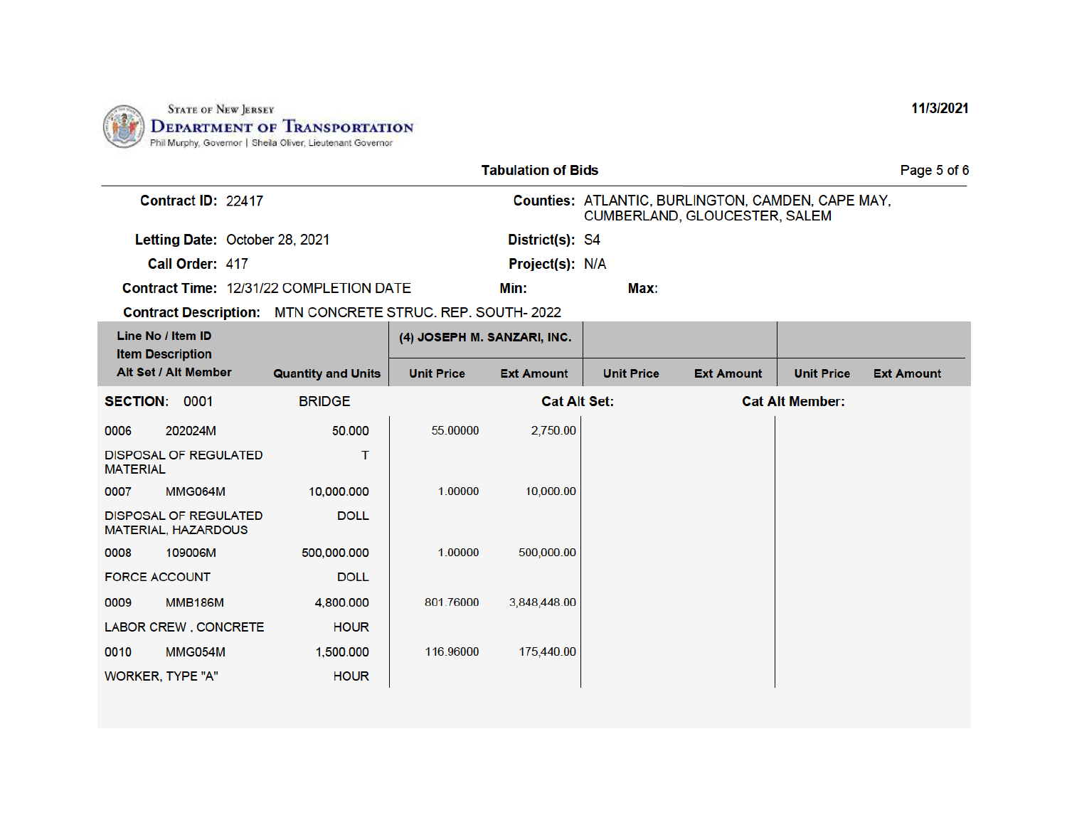

|                      | <b>Tabulation of Bids</b><br>Page 5 of 6                   |                                                            |                             |                     |                                                                                    |                   |                        |                   |
|----------------------|------------------------------------------------------------|------------------------------------------------------------|-----------------------------|---------------------|------------------------------------------------------------------------------------|-------------------|------------------------|-------------------|
| Contract ID: 22417   |                                                            |                                                            |                             |                     | Counties: ATLANTIC, BURLINGTON, CAMDEN, CAPE MAY,<br>CUMBERLAND, GLOUCESTER, SALEM |                   |                        |                   |
|                      | Letting Date: October 28, 2021                             |                                                            |                             | District(s): S4     |                                                                                    |                   |                        |                   |
|                      | Call Order: 417                                            |                                                            |                             | Project(s): N/A     |                                                                                    |                   |                        |                   |
|                      |                                                            | Contract Time: 12/31/22 COMPLETION DATE                    |                             | Min:                | Max:                                                                               |                   |                        |                   |
|                      |                                                            | Contract Description: MTN CONCRETE STRUC. REP. SOUTH- 2022 |                             |                     |                                                                                    |                   |                        |                   |
|                      | Line No / Item ID<br><b>Item Description</b>               |                                                            | (4) JOSEPH M. SANZARI, INC. |                     |                                                                                    |                   |                        |                   |
|                      | Alt Set / Alt Member                                       | <b>Quantity and Units</b>                                  | <b>Unit Price</b>           | <b>Ext Amount</b>   | <b>Unit Price</b>                                                                  | <b>Ext Amount</b> | <b>Unit Price</b>      | <b>Ext Amount</b> |
| SECTION: 0001        |                                                            | <b>BRIDGE</b>                                              |                             | <b>Cat Alt Set:</b> |                                                                                    |                   | <b>Cat Alt Member:</b> |                   |
| 0006                 | 202024M                                                    | 50.000                                                     | 55.00000                    | 2,750.00            |                                                                                    |                   |                        |                   |
| <b>MATERIAL</b>      | <b>DISPOSAL OF REGULATED</b>                               | т                                                          |                             |                     |                                                                                    |                   |                        |                   |
| 0007                 | MMG064M                                                    | 10,000.000                                                 | 1.00000                     | 10,000.00           |                                                                                    |                   |                        |                   |
|                      | <b>DISPOSAL OF REGULATED</b><br><b>MATERIAL, HAZARDOUS</b> | <b>DOLL</b>                                                |                             |                     |                                                                                    |                   |                        |                   |
| 0008                 | 109006M                                                    | 500,000.000                                                | 1.00000                     | 500,000.00          |                                                                                    |                   |                        |                   |
| <b>FORCE ACCOUNT</b> |                                                            | <b>DOLL</b>                                                |                             |                     |                                                                                    |                   |                        |                   |
| 0009                 | <b>MMB186M</b>                                             | 4.800.000                                                  | 801.76000                   | 3,848,448.00        |                                                                                    |                   |                        |                   |
|                      | LABOR CREW, CONCRETE                                       | <b>HOUR</b>                                                |                             |                     |                                                                                    |                   |                        |                   |
| 0010                 | MMG054M                                                    | 1,500.000                                                  | 116.96000                   | 175,440.00          |                                                                                    |                   |                        |                   |
|                      | WORKER, TYPE "A"                                           | <b>HOUR</b>                                                |                             |                     |                                                                                    |                   |                        |                   |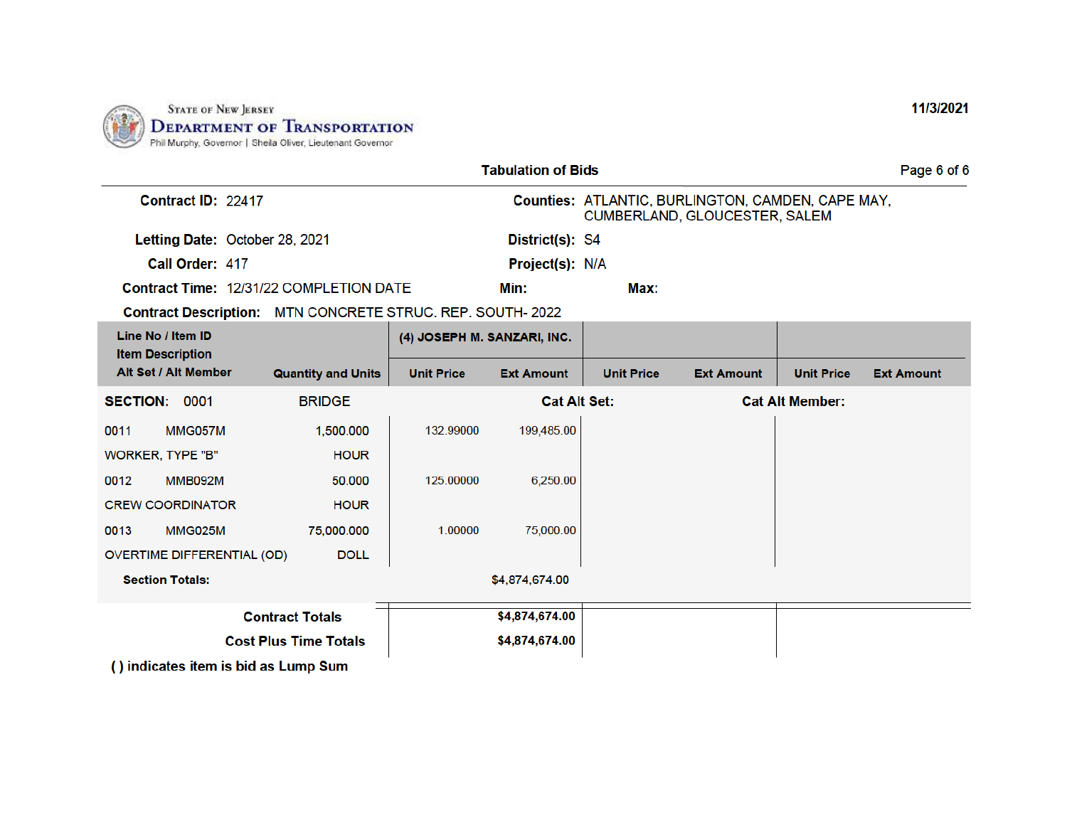

| <b>Tabulation of Bids</b><br>Page 6 of 6                   |                           |                   |                             |                                                                                    |                   |                        |                   |  |
|------------------------------------------------------------|---------------------------|-------------------|-----------------------------|------------------------------------------------------------------------------------|-------------------|------------------------|-------------------|--|
| Contract ID: 22417                                         |                           |                   |                             | Counties: ATLANTIC, BURLINGTON, CAMDEN, CAPE MAY,<br>CUMBERLAND, GLOUCESTER, SALEM |                   |                        |                   |  |
| Letting Date: October 28, 2021                             |                           |                   | District(s): S4             |                                                                                    |                   |                        |                   |  |
| Call Order: 417                                            |                           |                   | Project(s): N/A             |                                                                                    |                   |                        |                   |  |
| Contract Time: 12/31/22 COMPLETION DATE                    |                           |                   | Min:                        | Max:                                                                               |                   |                        |                   |  |
| Contract Description: MTN CONCRETE STRUC. REP. SOUTH- 2022 |                           |                   |                             |                                                                                    |                   |                        |                   |  |
| Line No / Item ID<br><b>Item Description</b>               |                           |                   | (4) JOSEPH M. SANZARI, INC. |                                                                                    |                   |                        |                   |  |
| Alt Set / Alt Member                                       | <b>Quantity and Units</b> | <b>Unit Price</b> | <b>Ext Amount</b>           | <b>Unit Price</b>                                                                  | <b>Ext Amount</b> | <b>Unit Price</b>      | <b>Ext Amount</b> |  |
| <b>SECTION: 0001</b>                                       | <b>BRIDGE</b>             |                   | <b>Cat Alt Set:</b>         |                                                                                    |                   | <b>Cat Alt Member:</b> |                   |  |
| 0011<br>MMG057M                                            | 1,500.000                 | 132.99000         | 199,485.00                  |                                                                                    |                   |                        |                   |  |
| WORKER, TYPE "B"                                           | <b>HOUR</b>               |                   |                             |                                                                                    |                   |                        |                   |  |
| 0012<br><b>MMB092M</b>                                     | 50.000                    | 125.00000         | 6,250.00                    |                                                                                    |                   |                        |                   |  |
| <b>CREW COORDINATOR</b>                                    | <b>HOUR</b>               |                   |                             |                                                                                    |                   |                        |                   |  |
| 0013<br>MMG025M                                            | 75,000.000                | 1.00000           | 75,000.00                   |                                                                                    |                   |                        |                   |  |
| <b>OVERTIME DIFFERENTIAL (OD)</b>                          | <b>DOLL</b>               |                   |                             |                                                                                    |                   |                        |                   |  |
| <b>Section Totals:</b>                                     |                           |                   | \$4,874,674.00              |                                                                                    |                   |                        |                   |  |
|                                                            | <b>Contract Totals</b>    |                   | \$4,874,674.00              |                                                                                    |                   |                        |                   |  |
| <b>Cost Plus Time Totals</b>                               |                           |                   | \$4,874,674.00              |                                                                                    |                   |                        |                   |  |
| () indicates item is bid as Lump Sum                       |                           |                   |                             |                                                                                    |                   |                        |                   |  |